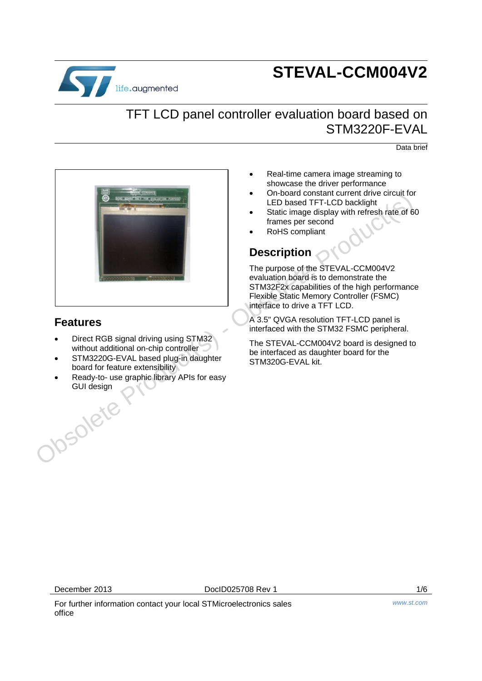

# **STEVAL-CCM004V2**

#### TFT LCD panel controller evaluation board based on STM3220F-EVAL

Data brief



#### **Features**

- Direct RGB signal driving using STM32 without additional on-chip controller
- STM3220G-EVAL based plug-in daughter board for feature extensibility
- Ready-to- use graphic library APIs for easy GUI design
- Real-time camera image streaming to showcase the driver performance
- On-board constant current drive circuit for LED based TFT-LCD backlight
- Static image display with refresh rate of 60 frames per second
- RoHS compliant

#### **Description**

The purpose of the STEVAL-CCM004V2 evaluation board is to demonstrate the STM32F2x capabilities of the high performance Flexible Static Memory Controller (FSMC) interface to drive a TFT LCD.

A 3.5" QVGA resolution TFT-LCD panel is interfaced with the STM32 FSMC peripheral.

The STEVAL-CCM004V2 board is designed to be interfaced as daughter board for the STM320G-EVAL kit.

December 2013 DocID025708 Rev 1 1/6

For further information contact your local STMicroelectronics sales office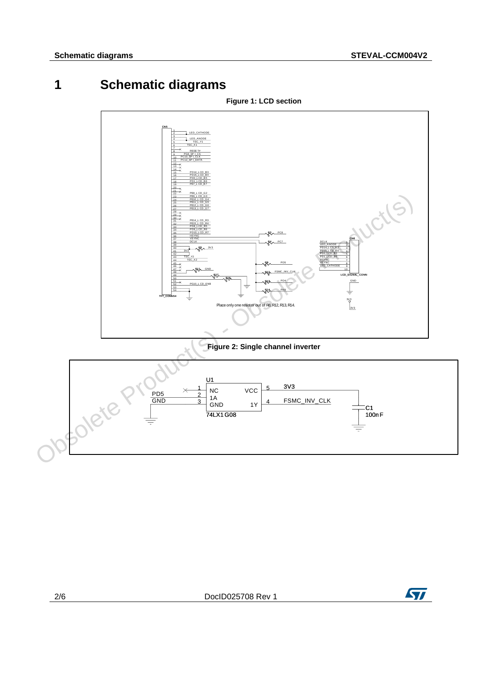## **1 Schematic diagrams**



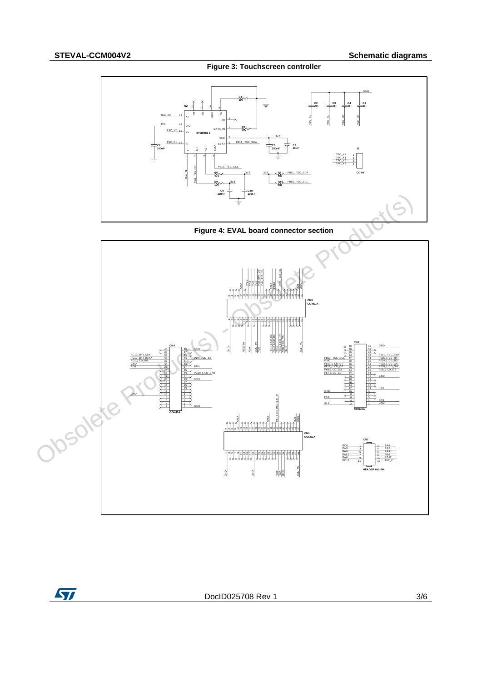



**Figure 4: EVAL board connector section**



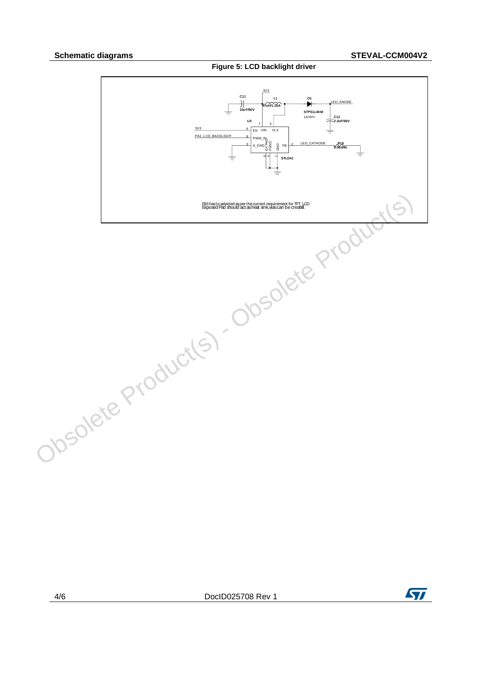

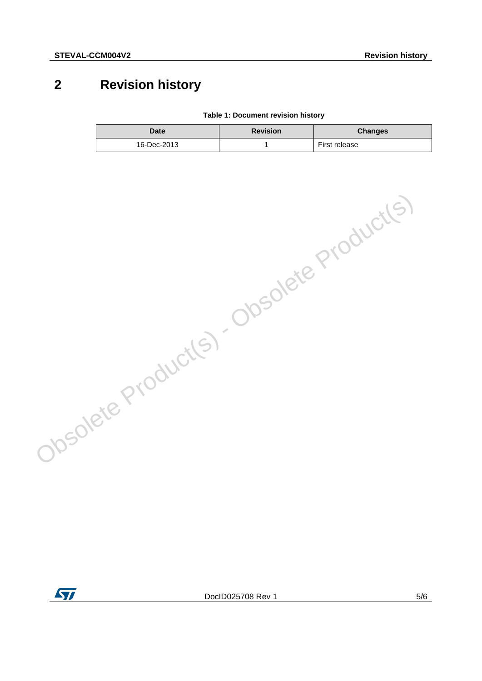## **2 Revision history**

**Table 1: Document revision history**

| Date        | <b>Revision</b> | <b>Changes</b> |
|-------------|-----------------|----------------|
| 16-Dec-2013 |                 | First release  |



Obsolete Product(s) - Obsolete Product(s)